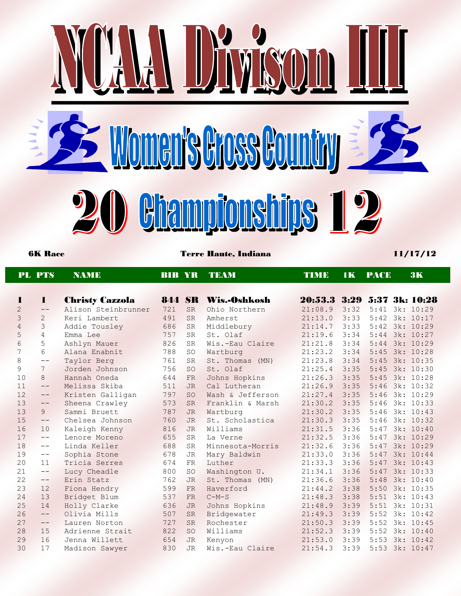

6K Race Terre Haute, Indiana 11/17/12

|                | <b>PL PTS</b>     | <b>NAME</b>            | <b>BIB YR</b> |           | <b>TEAM</b>      | <b>TIMB</b> | <b>IK</b> | <b>PACE</b>           | 3K        |
|----------------|-------------------|------------------------|---------------|-----------|------------------|-------------|-----------|-----------------------|-----------|
|                |                   |                        |               |           |                  |             |           |                       |           |
| 1              | $\mathbf{1}$      | <b>Christy Cazzola</b> | <b>844 SR</b> |           | Wis.-Oshkosh     | 20:53.3     | 3:29      | <b>5:37 3k: 10:28</b> |           |
| $\overline{c}$ | $\qquad \qquad -$ | Alison Steinbrunner    | 721           | <b>SR</b> | Ohio Northern    | 21:08.9     | 3:32      | $5:41$ 3k: $10:29$    |           |
| 3              | $\overline{2}$    | Keri Lambert           | 491           | <b>SR</b> | Amherst          | 21:13.0     | 3:33      | $5:42$ 3k: $10:17$    |           |
| 4              | 3                 | Addie Tousley          | 686           | <b>SR</b> | Middlebury       | 21:14.7     | 3:33      | 5:42 3k: 10:29        |           |
| 5              | $\overline{4}$    | Emma Lee               | 757           | <b>SR</b> | St. Olaf         | 21:19.6     | 3:34      | 5:44                  | 3k: 10:27 |
| 6              | 5                 | Ashlyn Mauer           | 826           | <b>SR</b> | Wis.-Eau Claire  | 21:21.8     | 3:34      | $5:44$ 3k: $10:29$    |           |
| 7              | 6                 | Alana Enabnit          | 788           | SO        | Wartburg         | 21:23.2     | 3:34      | 5:45 3k: 10:28        |           |
| $\,8\,$        | $- -$             | Taylor Berg            | 761           | <b>SR</b> | St. Thomas (MN)  | 21:23.8     | 3:34      | 5:45 3k: 10:35        |           |
| 9              | $7\phantom{.0}$   | Jorden Johnson         | 756           | <b>SO</b> | St. Olaf         | 21:25.4     | 3:35      | 5:45                  | 3k: 10:30 |
| 10             | 8                 | Hannah Oneda           | 644           | FR        | Johns Hopkins    | 21:26.3     | 3:35      | 5:45 3k: 10:28        |           |
| 11             | $--$              | Melissa Skiba          | 511           | <b>JR</b> | Cal Lutheran     | 21:26.9     | 3:35      | 5:46                  | 3k: 10:32 |
| 12             | $\qquad \qquad -$ | Kristen Galligan       | 797           | <b>SO</b> | Wash & Jefferson | 21:27.4     | 3:35      | 5:46                  | 3k: 10:29 |
| 13             | $\qquad \qquad -$ | Sheena Crawley         | 573           | <b>SR</b> | Franklin & Marsh | 21:30.2     | 3:35      | 5:46                  | 3k: 10:33 |
| 13             | 9                 | Sammi Bruett           | 787           | <b>JR</b> | Wartburg         | 21:30.2     | 3:35      | 5:46 3k: 10:43        |           |
| 15             | $- -$             | Chelsea Johnson        | 760           | <b>JR</b> | St. Scholastica  | 21:30.3     | 3:35      | 5:46                  | 3k: 10:32 |
| 16             | 10                | Kaleigh Kenny          | 816           | <b>JR</b> | Williams         | 21:31.5     | 3:36      | 5:47                  | 3k: 10:40 |
| 17             | $--$              | Lenore Moreno          | 655           | <b>SR</b> | La Verne         | 21:32.5     | 3:36      | 5:47                  | 3k: 10:29 |
| 18             | $\qquad -$        | Linda Keller           | 688           | <b>SR</b> | Minnesota-Morris | 21:32.6     | 3:36      | $5:47$ 3k: $10:29$    |           |
| 19             | $--$              | Sophia Stone           | 678           | <b>JR</b> | Mary Baldwin     | 21:33.0     | 3:36      | 5:47                  | 3k: 10:44 |
| 20             | 11                | Tricia Serres          | 674           | <b>FR</b> | Luther           | 21:33.3     | 3:36      | 5:47                  | 3k: 10:43 |
| 21             | $--$              | Lucy Cheadle           | 800           | <b>SO</b> | Washington U.    | 21:34.1     | 3:36      | 5:47                  | 3k: 10:33 |
| 22             | $--$              | Erin Statz             | 762           | <b>JR</b> | St. Thomas (MN)  | 21:36.6     | 3:36      | 5:48                  | 3k: 10:40 |
| 23             | 12                | Fiona Hendry           | 599           | <b>FR</b> | Haverford        | 21:44.2     | 3:38      | 5:50                  | 3k: 10:35 |
| 24             | 13                | Bridget Blum           | 537           | <b>FR</b> | $C-M-S$          | 21:48.3     | 3:38      | 5:51                  | 3k: 10:43 |
| 25             | 14                | Holly Clarke           | 636           | <b>JR</b> | Johns Hopkins    | 21:48.9     | 3:39      | 5:51                  | 3k: 10:31 |
| 26             | $\qquad \qquad -$ | Olivia Mills           | 507           | <b>SR</b> | Bridgewater      | 21:49.3     | 3:39      | 5:52                  | 3k: 10:42 |
| 27             | $\qquad \qquad -$ | Lauren Norton          | 727           | <b>SR</b> | Rochester        | 21:50.3     | 3:39      | 5:52                  | 3k: 10:45 |
| 28             | 15                | Adrienne Strait        | 822           | <b>SO</b> | Williams         | 21:52.3     | 3:39      | 5:52                  | 3k: 10:40 |
| 29             | 16                | Jenna Willett          | 654           | <b>JR</b> | Kenyon           | 21:53.0     | 3:39      | 5:53 3k: 10:42        |           |
| 30             | 17                | Madison Sawyer         | 830           | <b>JR</b> | Wis.-Eau Claire  | 21:54.3     | 3:39      | 5:53 3k: 10:47        |           |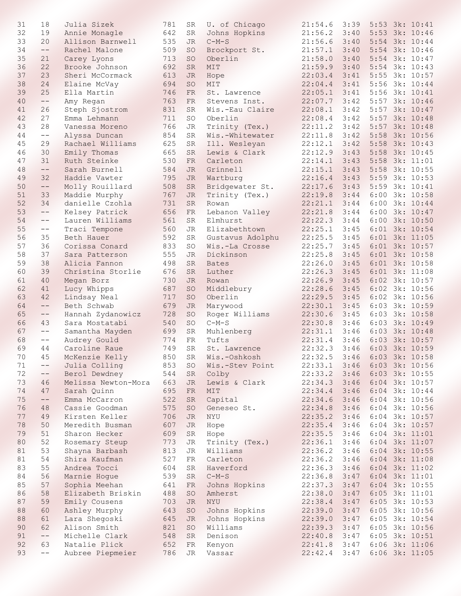| 31 | 18         | Julia Sizek                     | 781 | SR              | U. of Chicago          | 21:54.6                     | 3:39         |      | $5:53$ 3k: $10:41$ |
|----|------------|---------------------------------|-----|-----------------|------------------------|-----------------------------|--------------|------|--------------------|
| 32 | 19         | Annie Monagle                   | 642 | SR              | Johns Hopkins          | 21:56.2                     | 3:40         |      | 5:53 3k: 10:46     |
| 33 | 20         | Allison Barnwell                | 535 | JR.             | $C-M-S$                | 21:56.6                     | 3:40         |      | 5:54 3k: 10:44     |
| 34 | $\qquad -$ | Rachel Malone                   | 509 | <b>SO</b>       | Brockport St.          | 21:57.1                     | 3:40         |      | 5:54 3k: 10:46     |
| 35 | 21         | Carey Lyons                     | 713 | <b>SO</b>       | Oberlin                | 21:58.0                     | 3:40         | 5:54 | 3k: 10:47          |
| 36 | 22         | Brooke Johnson                  | 692 | <b>SR</b>       | MIT                    | 21:59.9                     | 3:40         |      | 5:54 3k: 10:43     |
| 37 | 23         | Sheri McCormack                 | 613 | <b>JR</b>       | Hope                   | 22:03.4                     | 3:41         | 5:55 | 3k: 10:57          |
| 38 | 24         | Elaine McVay                    | 694 | <b>SO</b>       | MIT                    | 22:04.4                     | 3:41         | 5:56 | 3k: 10:44          |
| 39 | 25         | Ella Martin                     | 746 | <b>FR</b>       | St. Lawrence           | 22:05.1                     | 3:41         | 5:56 | 3k: 10:41          |
| 40 | $--$       | Amy Regan                       | 763 | FR              | Stevens Inst.          | 22:07.7                     | 3:42         | 5:57 | 3k: 10:46          |
| 41 | 26         | Steph Sjostrom                  | 831 | SR              | Wis.-Eau Claire        | 22:08.1                     | 3:42         | 5:57 | 3k: 10:47          |
| 42 | 27         | Emma Lehmann                    | 711 | <b>SO</b>       | Oberlin                | 22:08.4                     | 3:42         | 5:57 | 3k: 10:48          |
| 43 | 28         | Vanessa Moreno                  | 766 | <b>JR</b>       | Trinity (Tex.)         | 22:11.2                     | 3:42         | 5:57 | 3k: 10:48          |
| 44 | $- -$      | Alyssa Duncan                   | 854 | <b>SR</b>       | Wis.-Whitewater        | 22:11.8                     | 3:42         | 5:58 | 3k: 10:56          |
| 45 | 29         | Rachael Williams                | 625 | <b>SR</b>       | Ill. Wesleyan          | 22:12.1                     | 3:42         | 5:58 | 3k: 10:43          |
| 46 | 30         | Emily Thomas                    | 665 | <b>SR</b>       | Lewis & Clark          | 22:12.9                     | 3:43         | 5:58 | 3k: 10:45          |
| 47 | 31         | Ruth Steinke                    | 530 | FR              | Carleton               | 22:14.1                     | 3:43         | 5:58 | 3k: 11:01          |
| 48 | $--$       | Sarah Burnell                   | 584 | <b>JR</b>       | Grinnell               | 22:15.1                     | 3:43         | 5:58 | 3k: 10:55          |
| 49 | 32         | Haddie Vawter                   | 795 | JR.             | Wartburg               | 22:16.4                     | 3:43         | 5:59 | 3k: 10:53          |
| 50 | $--$       | Molly Rouillard                 | 508 | SR              | Bridgewater St.        | 22:17.6                     | 3:43         | 5:59 | 3k: 10:41          |
| 51 | 33         | Maddie Murphy                   | 767 | <b>JR</b>       | Trinity (Tex.)         | 22:19.8                     | 3:44         | 6:00 | 3k: 10:58          |
| 52 | 34         | danielle Czohla                 | 731 | <b>SR</b>       | Rowan                  | 22:21.1                     | 3:44         | 6:00 | 3k: 10:44          |
| 53 | $- -$      | Kelsey Patrick                  | 656 | FR              | Lebanon Valley         | 22:21.8                     | 3:44         |      | 6:00 3k: 10:47     |
| 54 | $- -$      | Lauren Williams                 | 561 | SR              | Elmhurst               | 22:22.3                     | 3:44         |      | 6:00 3k: 10:50     |
| 55 | $-\,-$     | Traci Tempone                   | 560 | <b>JR</b>       | Elizabethtown          | 22:25.1                     | 3:45         |      | 6:01 3k: 10:54     |
| 56 | 35         | Beth Hauer                      | 592 | <b>SR</b>       | Gustavus Adolphu       | 22:25.5                     | 3:45         |      | 6:01 3k: 11:05     |
| 57 | 36         | Corissa Conard                  | 833 | <b>SO</b>       | Wis.-La Crosse         | 22:25.7                     | 3:45         |      | 6:01 3k: 10:57     |
| 58 | 37         |                                 | 555 |                 | Dickinson              | 22:25.8                     | 3:45         |      | 6:01 3k: 10:58     |
| 59 | 38         | Sara Patterson<br>Alicia Fannon | 498 | JR<br><b>SR</b> |                        | 22:26.0                     | 3:45         |      | 6:01 3k: 10:58     |
| 60 | 39         | Christina Storlie               | 676 | SR              | <b>Bates</b><br>Luther | 22:26.3                     | 3:45         |      | $6:01$ 3k: 11:08   |
| 61 | 40         |                                 | 730 | <b>JR</b>       |                        | 22:26.9                     | 3:45         |      | 6:02 3k: 10:57     |
| 62 | 41         | Megan Borz                      |     | <b>SO</b>       | Rowan                  | 22:28.6                     | 3:45         |      | 6:02 3k: 10:56     |
|    |            | Lucy Whipps                     | 687 |                 | Middlebury             |                             |              |      |                    |
| 63 | 42         | Lindsay Neal                    | 717 | <b>SO</b>       | Oberlin                | 22:29.5                     | 3:45         |      | 6:02 3k: 10:56     |
| 64 | $--$       | Beth Schwab                     | 679 | <b>JR</b>       | Marywood               | 22:30.1                     | 3:45<br>3:45 | 6:03 | 3k: 10:59          |
| 65 | $--$       | Hannah Zydanowicz               | 728 | <b>SO</b>       | Roger Williams         | 22:30.6                     |              |      | 6:03 3k: 10:58     |
| 66 | 43         | Sara Mostatabi                  | 540 | <b>SO</b>       | $C-M-S$                | 22:30.8                     | 3:46         |      | 6:03 3k: 10:49     |
| 67 | $--$       | Samantha Mayden                 | 699 | SR              | Muhlenberg             | 22:31.1                     | 3:46         |      | 6:03 3k: 10:48     |
| 68 | $- -$      | Audrey Gould                    | 774 | ${\rm FR}$      | Tufts                  | 22:31.4                     | 3:46         | 6:03 | 3k: 10:57          |
| 69 | 44         | Caroline Raue                   | 749 | ${\rm SR}$      | St. Lawrence           | 22:32.3                     | 3:46         |      | 6:03 3k: 10:59     |
| 70 | 45         | McKenzie Kelly                  | 850 | ${\rm SR}$      | Wis.-Oshkosh           | 22:32.5 3:46 6:03 3k: 10:58 |              |      |                    |
| 71 | $--$       | Julia Colling                   | 853 | SO              | Wis.-Stev Point        | 22:33.1                     | 3:46         |      | $6:03$ 3k: $10:56$ |
| 72 | $---$      | Berol Dewdney                   | 544 | SR              | Colby                  | 22:33.2                     | 3:46         |      | 6:03 3k: 10:55     |
| 73 | 46         | Melissa Newton-Mora             | 663 | <b>JR</b>       | Lewis & Clark          | 22:34.3                     | 3:46         |      | $6:04$ 3k: $10:57$ |
| 74 | 47         | Sarah Quinn                     | 695 | FR              | MIT                    | 22:34.4                     | 3:46         |      | $6:04$ 3k: $10:44$ |
| 75 | $--$       | Emma McCarron                   | 522 | <b>SR</b>       | Capital                | 22:34.6                     | 3:46         |      | 6:04 3k: 10:56     |
| 76 | 48         | Cassie Goodman                  | 575 | <b>SO</b>       | Geneseo St.            | 22:34.8                     | 3:46         |      | 6:04 3k: 10:56     |
| 77 | 49         | Kirsten Keller                  | 706 | JR              | NYU                    | 22:35.2                     | 3:46         |      | 6:04 3k: 10:57     |
| 78 | 50         | Meredith Busman                 | 607 | <b>JR</b>       | Hope                   | 22:35.4                     | 3:46         |      | 6:04 3k: 10:57     |
| 79 | 51         | Sharon Hecker                   | 609 | SR              | Hope                   | 22:35.5                     | 3:46         |      | 6:04 3k: 11:01     |
| 80 | 52         | Rosemary Steup                  | 773 | JR              | Trinity (Tex.)         | 22:36.1                     | 3:46         |      | 6:04 3k: 11:07     |
| 81 | 53         | Shayna Barbash                  | 813 | JR              | Williams               | 22:36.2                     | 3:46         |      | 6:04 3k: 10:55     |
| 81 | 54         | Shira Kaufman                   | 527 | FR              | Carleton               | 22:36.2                     | 3:46         |      | 6:04 3k: 11:08     |
| 83 | 55         | Andrea Tocci                    | 604 | SR              | Haverford              | 22:36.3                     | 3:46         |      | 6:04 3k: 11:02     |
| 84 | 56         | Marnie Hogue                    | 539 | SR              | $C-M-S$                | 22:36.8                     | 3:47         |      | 6:04 3k: 11:01     |
| 85 | 57         | Sophia Meehan                   | 641 | FR              | Johns Hopkins          | 22:37.3                     | 3:47         |      | 6:04 3k: 10:55     |
| 86 | 58         | Elizabeth Briskin               | 488 | <b>SO</b>       | Amherst                | 22:38.0                     | 3:47         |      | 6:05 3k: 11:01     |
| 87 | 59         | Emily Cousens                   | 703 | <b>JR</b>       | NYU                    | 22:38.4                     | 3:47         |      | 6:05 3k: 10:53     |
| 88 | 60         | Ashley Murphy                   | 643 | <b>SO</b>       | Johns Hopkins          | 22:39.0                     | 3:47         |      | 6:05 3k: 10:56     |
| 88 | 61         | Lara Shegoski                   | 645 | JR              | Johns Hopkins          | 22:39.0                     | 3:47         |      | $6:05$ 3k: 10:54   |
| 90 | 62         | Alison Smith                    | 821 | <b>SO</b>       | Williams               | 22:39.3                     | 3:47         |      | $6:05$ 3k: 10:56   |
| 91 | $--$       | Michelle Clark                  | 548 | <b>SR</b>       | Denison                | 22:40.8                     | 3:47         |      | 6:05 3k: 10:51     |
| 92 | 63         | Natalie Plick                   | 652 | FR              | Kenyon                 | 22:41.8                     | 3:47         |      | 6:06 3k: 11:06     |
| 93 | $--$       | Aubree Piepmeier                | 786 | JR              | Vassar                 | 22:42.4                     | 3:47         |      | 6:06 3k: 11:05     |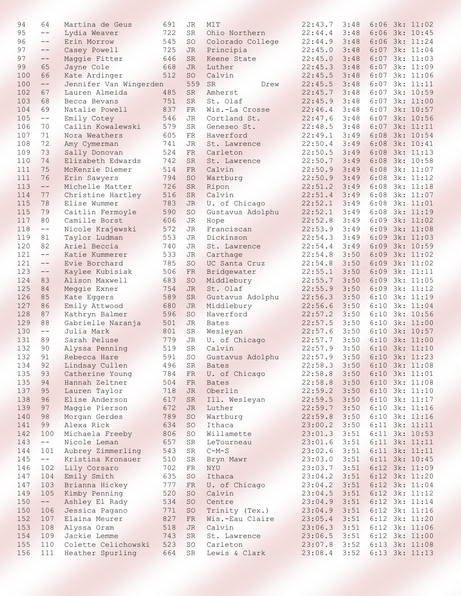| 94  | 64                | Martina de Geus        | 691 | JR          | MIT               | 22:43.7 | 3:48 |      | $6:06$ 3k: 11:02   |
|-----|-------------------|------------------------|-----|-------------|-------------------|---------|------|------|--------------------|
| 95  | $--$              | Lydia Weaver           | 722 | SR          | Ohio Northern     | 22:44.4 | 3:48 |      | $6:06$ 3k: $10:45$ |
| 96  | $- -$             | Erin Morrow            | 545 | <b>SO</b>   | Colorado College  | 22:44.9 | 3:48 |      | $6:06$ 3k: $11:24$ |
| 97  | $--$              | Casey Powell           | 725 | JR          | Principia         | 22:45.0 | 3:48 |      | 6:07 3k: 11:04     |
| 97  | $--$              | Maggie Fitter          | 646 | <b>SR</b>   | Keene State       | 22:45.0 | 3:48 | 6:07 | 3k: 11:03          |
| 99  | 65                | Jayne Cole             | 668 | <b>JR</b>   | Luther            | 22:45.3 | 3:48 | 6:07 | 3k: 11:09          |
| 100 | 66                | Kate Ardinger          | 512 | SO          | Calvin            | 22:45.5 | 3:48 | 6:07 | 3k: 11:06          |
| 100 | $--$              | Jennifer Van Wingerden |     | 559         | <b>SR</b><br>Drew | 22:45.5 | 3:48 | 6:07 | 3k: 11:11          |
| 102 | 67                | Lauren Almeida         | 485 | <b>SR</b>   | Amherst           | 22:45.7 | 3:48 | 6:07 | 3k: 10:59          |
| 103 | 68                | Becca Bevans           | 751 | <b>SR</b>   | St. Olaf          | 22:45.9 | 3:48 | 6:07 | 3k: 11:00          |
| 104 | 69                | Natalie Powell         | 837 | FR          | Wis.-La Crosse    | 22:46.4 | 3:48 | 6:07 | 3k: 10:57          |
| 105 | $--$              | Emily Cotey            | 546 | JR          | Cortland St.      | 22:47.6 | 3:48 | 6:07 | 3k: 10:56          |
| 106 | 70                | Cailin Kowalewski      | 579 | <b>SR</b>   | Geneseo St.       | 22:48.5 | 3:48 | 6:07 | 3k: 11:11          |
| 107 | 71                | Nora Weathers          | 605 | FR          | Haverford         | 22:49.1 | 3:49 | 6:08 | 3k: 10:54          |
| 108 | 72                | Amy Cymerman           | 741 | JR          | St. Lawrence      | 22:50.4 | 3:49 | 6:08 | 3k: 10:41          |
| 109 | 73                | Sally Donovan          | 524 | <b>FR</b>   | Carleton          | 22:50.5 | 3:49 | 6:08 | 3k: 11:13          |
| 110 | 74                | Elizabeth Edwards      | 742 | <b>SR</b>   | St. Lawrence      | 22:50.7 | 3:49 | 6:08 | 3k: 10:58          |
| 111 | 75                | McKenzie Diemer        | 514 | <b>FR</b>   | Calvin            | 22:50.9 | 3:49 | 6:08 | 3k: 11:07          |
| 111 | 76                | Erin Sawyers           | 794 | <b>SO</b>   | Wartburg          | 22:50.9 | 3:49 | 6:08 | 3k: 11:12          |
| 113 | $- -$             | Michelle Matter        | 726 | <b>SR</b>   | Ripon             | 22:51.2 | 3:49 | 6:08 | 3k: 11:18          |
| 114 | 77                | Christine Hartley      | 516 | <b>SR</b>   | Calvin            | 22:51.4 | 3:49 | 6:08 | 3k: 11:07          |
| 115 | 78                | Elise Wummer           | 783 | <b>JR</b>   | U. of Chicago     | 22:52.1 | 3:49 | 6:08 | 3k: 11:01          |
| 115 | 79                | Caitlin Fermoyle       | 590 | SO          | Gustavus Adolphu  | 22:52.1 | 3:49 | 6:08 | 3k: 11:19          |
| 117 | 80                | Camille Borst          | 606 | JR          | Hope              | 22:52.8 | 3:49 | 6:09 | 3k: 11:02          |
| 118 | $--$              | Nicole Krajewski       | 572 | JR          | Franciscan        | 22:53.9 | 3:49 | 6:09 | 3k: 11:08          |
| 119 | 81                | Taylor Ludman          | 553 | JR          | Dickinson         | 22:54.3 | 3:49 | 6:09 | 3k: 11:03          |
| 120 | 82                | Ariel Beccia           | 740 | JR          | St. Lawrence      | 22:54.4 | 3:49 | 6:09 | 3k: 10:59          |
| 121 | $- -$             | Katie Kummerer         | 533 | <b>JR</b>   | Carthage          | 22:54.8 | 3:50 | 6:09 | 3k: 11:02          |
| 121 | $- -$             | Evie Borchard          | 785 | <b>SO</b>   | UC Santa Cruz     | 22:54.8 | 3:50 | 6:09 | 3k: 11:02          |
| 123 | $\qquad \qquad -$ | Kaylee Kubisiak        | 506 | FR          | Bridgewater       | 22:55.1 | 3:50 | 6:09 | 3k: 11:11          |
| 124 | 83                | Alison Maxwell         | 683 | SO          | Middlebury        | 22:55.7 | 3:50 | 6:09 | 3k: 11:05          |
| 125 | 84                | Meggie Exner           | 754 | JR.         | St. Olaf          | 22:55.9 | 3:50 | 6:09 | 3k: 11:12          |
| 126 | 85                | Kate Eggers            | 589 | <b>SR</b>   | Gustavus Adolphu  | 22:56.3 | 3:50 | 6:10 | 3k: 11:19          |
| 127 | 86                | Emily Attwood          | 680 | <b>JR</b>   | Middlebury        | 22:56.6 | 3:50 | 6:10 | 3k: 11:04          |
| 128 | 87                | Kathryn Balmer         | 596 | <b>SO</b>   | Haverford         | 22:57.2 | 3:50 | 6:10 | 3k: 10:56          |
| 129 | 88                | Gabrielle Naranja      | 501 | JR          | <b>Bates</b>      | 22:57.5 | 3:50 | 6:10 | 3k: 11:00          |
| 130 | $- -$             | Julia Mark             | 801 | <b>SR</b>   | Wesleyan          | 22:57.6 | 3:50 | 6:10 | 3k: 10:57          |
| 131 | 89                | Sarah Peluse           | 779 | JR          | U. of Chicago     | 22:57.7 | 3:50 | 6:10 | 3k: 11:00          |
| 132 | 90                | Alyssa Penning         | 519 | <b>SR</b>   | Calvin            | 22:57.9 | 3:50 |      | 6:10 3k: 11:10     |
| 132 | 91                | Rebecca Hare           | 591 | <b>SO</b>   | Gustavus Adolphu  | 22:57.9 | 3:50 |      | $6:10$ 3k: $11:23$ |
| 134 | 92                | Lindsay Cullen         | 496 | SR          | <b>Bates</b>      | 22:58.3 | 3:50 |      | 6:10 3k: 11:08     |
| 135 | 93                | Catherine Young        | 784 | FR          | U. of Chicago     | 22:58.8 | 3:50 |      | 6:10 3k: 11:01     |
| 135 | 94                | Hannah Zeltner         | 504 | FR          | <b>Bates</b>      | 22:58.8 | 3:50 |      | 6:10 3k: 11:08     |
| 137 | 95                | Lauren Taylor          | 718 | <b>JR</b>   | Oberlin           | 22:59.2 | 3:50 |      | 6:10 3k: 11:10     |
| 138 | 96                | Elise Anderson         | 617 | SR          | Ill. Wesleyan     | 22:59.5 | 3:50 |      | 6:10 3k: 11:17     |
| 139 | 97                | Maggie Pierson         | 672 | JR          | Luther            | 22:59.7 | 3:50 |      | 6:10 3k: 11:16     |
| 140 | 98                | Morgan Gerdes          | 789 | SO          | Wartburg          | 22:59.8 | 3:50 |      | 6:10 3k: 11:16     |
| 141 | 99                | Alexa Rick             | 634 | <b>SO</b>   | Ithaca            | 23:00.2 | 3:50 |      | $6:11$ 3k: $11:11$ |
| 142 | 100               | Michaela Freeby        | 806 | SO          | Willamette        | 23:01.3 | 3:51 |      | 6:11 3k: 10:53     |
| 143 | $--$              | Nicole Leman           | 657 | $_{\rm SR}$ | LeTourneau        | 23:01.6 | 3:51 |      | 6:11 3k: 11:11     |
| 144 | 101               | Aubrey Zimmerling      | 543 | ${\tt SR}$  | $C-M-S$           | 23:02.6 | 3:51 |      | 6:11 3k: 11:11     |
| 145 | $--$              | Kristina Kronauer      | 510 | SR          | Bryn Mawr         | 23:03.0 | 3:51 |      | 6:11 3k: 10:45     |
| 146 | 102               | Lily Corsaro           | 702 | FR          | NYU               | 23:03.7 | 3:51 |      | 6:12 3k: 11:09     |
| 147 | 104               | Emily Smith            | 635 | SO          | Ithaca            | 23:04.2 | 3:51 |      | 6:12 3k: 11:20     |
| 147 | 103               | Brianna Hickey         | 777 | FR          | U. of Chicago     | 23:04.2 | 3:51 |      | 6:12 3k: 11:04     |
| 149 | 105               | Kimby Penning          | 520 | SO          | Calvin            | 23:04.5 | 3:51 |      | 6:12 3k: 11:12     |
| 150 | $--$              | Ashley El Rady         | 534 | SO          | Centre            | 23:04.9 | 3:51 |      | 6:12 3k: 11:14     |
| 150 | 106               | Jessica Pagano         | 771 | SO          | Trinity (Tex.)    | 23:04.9 | 3:51 |      | 6:12 3k: 11:16     |
| 152 | 107               | Elaina Meurer          | 827 | FR          | Wis.-Eau Claire   | 23:05.4 | 3:51 |      | 6:12 3k: 11:20     |
| 153 | 108               | Alyssa Oram            | 518 | <b>JR</b>   | Calvin            | 23:06.3 | 3:51 |      | 6:12 3k: 11:06     |
| 154 | 109               | Jackie Lemme           | 743 | <b>SR</b>   | St. Lawrence      | 23:06.5 | 3:51 |      | 6:12 3k: 11:00     |
| 155 | 110               | Colette Celichowski    | 523 | SO          | Carleton          | 23:07.8 | 3:52 |      | 6:13 3k: 11:08     |
| 156 | 111               | Heather Spurling       | 664 | $_{\rm SR}$ | Lewis & Clark     | 23:08.4 | 3:52 |      | 6:13 3k: 11:13     |
|     |                   |                        |     |             |                   |         |      |      |                    |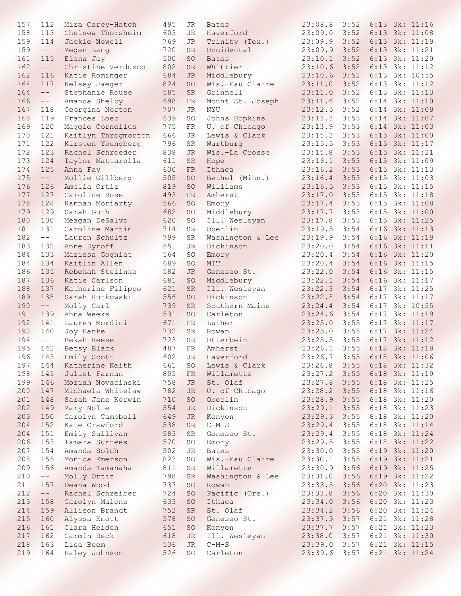| 157 | 112                      | Mira Carey-Hatch                  | 495 | JR        | <b>Bates</b>     | 23:08.8        | 3:52 |      | 6:13 3k: 11:16     |
|-----|--------------------------|-----------------------------------|-----|-----------|------------------|----------------|------|------|--------------------|
| 158 | 113                      | Chelsea Thorsheim                 | 603 | JR        | Haverford        | 23:09.0        | 3:52 |      | 6:13 3k: 11:08     |
| 159 | 114                      | Jackie Newell                     | 769 | JR        | Trinity (Tex.)   | 23:09.9        | 3:52 |      | 6:13 3k: 11:19     |
| 159 | $---$                    | Megan Lang                        | 720 | <b>SR</b> | Occidental       | 23:09.9        | 3:52 | 6:13 | 3k: 11:21          |
| 161 | 115                      | Elena Jay                         | 500 | <b>SO</b> | <b>Bates</b>     | 23:10.1        | 3:52 | 6:13 | 3k: 11:20          |
| 162 | $\qquad \qquad -$        | Christine Verduzco                | 802 | <b>SR</b> | Whittier         | 23:10.6        | 3:52 | 6:13 | 3k: 11:12          |
| 162 | 116                      | Katie Rominger                    | 684 | <b>JR</b> | Middlebury       | 23:10.6        | 3:52 | 6:13 | 3k: 10:55          |
| 164 | 117                      |                                   | 824 | <b>SO</b> | Wis.-Eau Claire  | 23:11.0        | 3:52 | 6:13 | 3k: 11:12          |
| 164 | $--$                     | Kelsey Jaeger                     | 585 | SR        | Grinnell         |                | 3:52 | 6:13 | 3k: 11:13          |
|     |                          | Stephanie Rouse                   |     |           |                  | 23:11.0        |      |      |                    |
| 166 | $---$                    | Amanda Shelby                     | 698 | FR        | Mount St. Joseph | 23:11.6        | 3:52 | 6:14 | 3k: 11:10          |
| 167 | 118                      | Georgina Norton                   | 707 | JR        | NYU              | 23:12.5        | 3:52 |      | 6:14 3k: 11:09     |
| 168 | 119                      | Frances Loeb                      | 639 | SO        | Johns Hopkins    | 23:13.3        | 3:53 |      | $6:14$ 3k: $11:07$ |
| 169 | 120                      | Maggie Cornelius                  | 775 | FR        | U. of Chicago    | 23:13.9        | 3:53 | 6:14 | 3k: 11:03          |
| 170 | 121                      | Kaitlyn Throgmorton               | 666 | JR        | Lewis & Clark    | 23:15.2        | 3:53 | 6:15 | 3k: 11:00          |
| 171 | 122                      | Kirsten Youngberg                 | 796 | SR        | Wartburg         | 23:15.5        | 3:53 | 6:15 | 3k: 11:17          |
| 172 | 123                      | Rachel Schroeder                  | 838 | JR        | Wis.-La Crosse   | 23:15.8        | 3:53 | 6:15 | 3k: 11:21          |
| 173 | 124                      | Taylor Mattarella                 | 611 | SR        | Hope             | 23:16.1        | 3:53 | 6:15 | 3k: 11:09          |
| 174 | 125                      | Anna Fay                          | 630 | FR        | Ithaca           | 23:16.2        | 3:53 | 6:15 | 3k: 11:13          |
| 175 | $\qquad \qquad - -$      | Mollie Gillberg                   | 505 | SO        | Bethel (Minn.)   | 23:16.4        | 3:53 | 6:15 | 3k: 11:03          |
| 176 | 126                      | Amelia Ortiz                      | 819 | SO        | Williams         | 23:16.5        | 3:53 | 6:15 | 3k: 11:15          |
| 177 | 127                      | Caroline Rose                     | 493 | FR.       | Amherst          | 23:17.0        | 3:53 | 6:15 | 3k: 11:18          |
| 178 | 128                      | Hannah Moriarty                   | 566 | SO        | Emory            | 23:17.4        | 3:53 | 6:15 | 3k: 11:08          |
| 179 | 129                      | Sarah Guth                        | 682 | <b>SO</b> | Middlebury       | 23:17.7        | 3:53 | 6:15 | 3k: 11:00          |
| 180 | 130                      |                                   | 620 | SO        | Ill. Wesleyan    | 23:17.8        | 3:53 | 6:15 | 3k: 11:25          |
| 181 | 131                      | Meagan DeSalvo<br>Caroline Martin | 714 | SR        | Oberlin          | 23:19.5        | 3:54 | 6:16 | 3k: 11:13          |
|     |                          |                                   |     |           |                  |                |      |      |                    |
| 182 | $--$                     | Lauren Schultz                    | 799 | SR        | Washington & Lee | 23:19.9        | 3:54 | 6:16 | 3k: 11:19          |
| 183 | 132                      | Anne Dyroff                       | 551 | <b>JR</b> | Dickinson        | 23:20.0        | 3:54 | 6:16 | 3k: 11:11          |
| 184 | 133                      | Marissa Gogniat                   | 564 | SO        | Emory            | 23:20.4        | 3:54 | 6:16 | 3k: 11:20          |
| 184 | 134                      | Kaitlin Allen                     | 689 | <b>SO</b> | MIT              | 23:20.4        | 3:54 |      | 6:16 3k: 11:15     |
| 186 | 135                      | Rebekah Steiinke                  | 582 | JR        | Geneseo St.      | 23:22.0        | 3:54 |      | 6:16 3k: 11:15     |
| 187 | 136                      | Katie Carlson                     | 681 | SO        | Middlebury       | 23:22.1        | 3:54 | 6:16 | 3k: 11:17          |
| 188 | 137                      | Katherine Filippo                 | 621 | <b>SR</b> | Ill. Wesleyan    | 23:22.3        | 3:54 |      | 6:17 3k: 11:25     |
| 189 | 138                      | Sarah Rutkowski                   | 556 | SO        | Dickinson        | 23:22.8        | 3:54 | 6:17 | 3k: 11:17          |
| 190 | $\qquad \qquad - \qquad$ | Molly Carl                        | 739 | <b>SR</b> | Southern Maine   | 23:24.4        | 3:54 | 6:17 | 3k: 10:55          |
| 191 | 139                      | Ahna Weeks                        | 531 | SO        | Carleton         | 23:24.6        | 3:54 | 6:17 | 3k: 11:19          |
| 192 | 141                      | Lauren Mordini                    | 671 | FR        | Luther           | 23:25.0        | 3:55 | 6:17 | 3k: 11:17          |
| 192 | 140                      | Joy Hanke                         | 732 | SR        | Rowan            | 23:25.0        | 3:55 |      | 6:17 3k: 11:24     |
| 194 | $--$                     | Bekah Reese                       | 723 | SR        | Otterbein        | 23:25.5        | 3:55 |      | 6:17 3k: 11:12     |
| 195 | 142                      | Betsy Black                       | 487 | FR        | Amherst          | 23:26.1        | 3:55 |      | 6:18 3k: 11:18     |
| 196 | 143                      | Emily Scott                       | 602 | JR        | Haverford        | 23:26.7        | 3:55 |      | 6:18 3k: 11:06     |
| 197 | 144                      | Katherine Keith                   | 661 | SO        | Lewis & Clark    | $23:26.8$ 3:55 |      |      | 6:18 3k: 11:32     |
| 198 | 145                      | Juliet Farnan                     | 805 | FR        | Willamette       | 23:27.2        | 3:55 |      | 6:18 3k: 11:19     |
|     |                          |                                   |     |           |                  |                |      |      |                    |
| 199 | 146                      | Moriah Novacinski                 | 758 | <b>JR</b> | St. Olaf         | 23:27.8        | 3:55 |      | 6:18 3k: 11:25     |
| 200 | 147                      | Michaela Whitelaw                 | 782 | <b>JR</b> | U. of Chicago    | 23:28.2        | 3:55 |      | 6:18 3k: 11:16     |
| 201 | 148                      | Sarah Jane Kerwin                 | 710 | SO        | Oberlin          | 23:28.9        | 3:55 |      | 6:18 3k: 11:20     |
| 202 | 149                      | Mary Nolte                        | 554 | JR        | Dickinson        | 23:29.1        | 3:55 |      | 6:18 3k: 11:23     |
| 203 | 150                      | Carolyn Campbell                  | 649 | JR        | Kenyon           | 23:29.3        | 3:55 |      | 6:18 3k: 11:20     |
| 204 | 152                      | Kate Crawford                     | 538 | <b>SR</b> | $C-M-S$          | 23:29.4        | 3:55 |      | 6:18 3k: 11:14     |
| 204 | 151                      | Emily Sullivan                    | 583 | <b>SR</b> | Geneseo St.      | 23:29.4        | 3:55 |      | 6:18 3k: 11:24     |
| 206 | 153                      | Tamara Surtees                    | 570 | SO        | Emory            | 23:29.5        | 3:55 |      | 6:18 3k: 11:22     |
| 207 | 154                      | Amanda Solch                      | 502 | JR        | <b>Bates</b>     | 23:30.0        | 3:55 |      | 6:19 3k: 11:20     |
| 208 | 155                      | Monica Emerson                    | 823 | SO        | Wis.-Eau Claire  | 23:30.1        | 3:55 |      | 6:19 3k: 11:21     |
| 209 | 156                      | Amanda Tamanaha                   | 811 | SR        | Willamette       | 23:30.9        | 3:56 |      | 6:19 3k: 11:25     |
| 210 | $\qquad \qquad - \qquad$ | Molly Ortiz                       | 798 | SR        | Washington & Lee | 23:31.0        | 3:56 |      | 6:19 3k: 11:22     |
| 211 | 157                      | Deana Wood                        | 737 | <b>SO</b> | Rowan            | 23:33.5        | 3:56 |      | 6:20 3k: 11:23     |
| 212 | $\qquad \qquad - -$      | Rachel Schreiber                  | 724 | <b>SO</b> | Pacific (Ore.)   | 23:33.8        | 3:56 |      | 6:20 3k: 11:30     |
| 213 | 158                      | Carolyn Malone                    | 633 | <b>SO</b> | Ithaca           | 23:34.0        | 3:56 |      | 6:20 3k: 11:23     |
| 214 | 159                      | Allison Brandt                    | 752 | <b>SR</b> | St. Olaf         | 23:34.2        | 3:56 |      | 6:20 3k: 11:24     |
| 215 |                          |                                   | 578 |           |                  |                |      |      |                    |
|     | 160                      | Alyssa Knott                      |     | <b>SO</b> | Geneseo St.      | 23:37.3        | 3:57 |      | 6:21 3k: 11:28     |
| 216 | 161                      | Clara Heiden                      | 651 | <b>SO</b> | Kenyon           | 23:37.7        | 3:57 |      | 6:21 3k: 11:23     |
| 217 | 162                      | Carmin Beck                       | 618 | <b>JR</b> | Ill. Wesleyan    | 23:38.0        | 3:57 |      | 6:21 3k: 11:30     |
| 218 | 163                      | Lisa Beem                         | 536 | <b>JR</b> | $C-M-S$          | 23:39.0        | 3:57 |      | 6:21 3k: 11:15     |
| 219 | 164                      | Haley Johnson                     | 526 | SO        | Carleton         | 23:39.6        | 3:57 |      | 6:21 3k: 11:24     |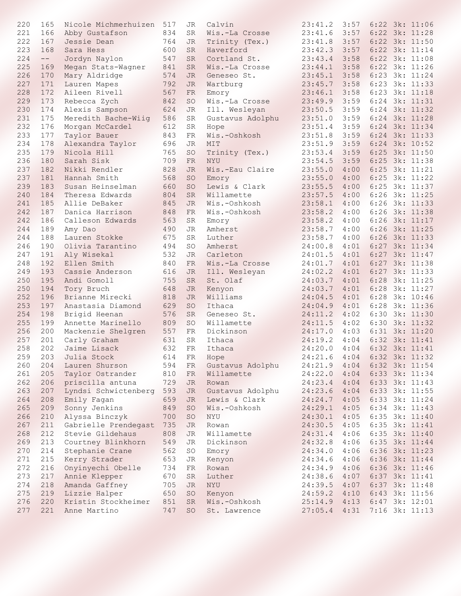| 220 | 165                 | Nicole Michmerhuizen | 517 | JR         | Calvin           | 23:41.2                     | 3:57 |      | $6:22$ 3k: 11:06   |
|-----|---------------------|----------------------|-----|------------|------------------|-----------------------------|------|------|--------------------|
| 221 | 166                 | Abby Gustafson       | 834 | SR         | Wis.-La Crosse   | 23:41.6                     | 3:57 |      | 6:22 3k: 11:28     |
| 222 | 167                 | Jessie Dean          | 764 | JR         | Trinity (Tex.)   | 23:41.8                     | 3:57 |      | 6:22 3k: 11:50     |
| 223 | 168                 | Sara Hess            | 600 | SR         | Haverford        | 23:42.3                     | 3:57 |      | 6:22 3k: 11:14     |
| 224 | $\qquad \qquad - -$ | Jordyn Naylon        | 547 | SR         | Cortland St.     | 23:43.4                     | 3:58 |      | 6:22 3k: 11:08     |
| 225 | 169                 | Megan Stats-Wagner   | 841 | <b>SR</b>  | Wis.-La Crosse   | 23:44.1                     | 3:58 |      | $6:22$ 3k: 11:26   |
| 226 | 170                 | Mary Aldridge        | 574 | JR         | Geneseo St.      | 23:45.1                     | 3:58 |      | 6:23 3k: 11:24     |
| 227 | 171                 | Lauren Mapes         | 792 | JR         | Wartburg         | 23:45.7                     | 3:58 | 6:23 | 3k: 11:33          |
| 228 | 172                 | Aileen Rivell        | 567 | FR         | Emory            | 23:46.1                     | 3:58 | 6:23 | 3k: 11:18          |
| 229 | 173                 | Rebecca Zych         | 842 | SO         | Wis.-La Crosse   | 23:49.9                     | 3:59 | 6:24 | 3k: 11:31          |
| 230 | 174                 | Alexis Sampson       | 624 | JR         | Ill. Wesleyan    | 23:50.5                     | 3:59 | 6:24 | 3k: 11:32          |
| 231 | 175                 | Meredith Bache-Wiig  | 586 | SR         | Gustavus Adolphu | 23:51.0                     | 3:59 | 6:24 | 3k: 11:28          |
| 232 | 176                 | Morgan McCardel      | 612 | SR         | Hope             | 23:51.4                     | 3:59 |      | 6:24 3k: 11:34     |
| 233 | 177                 | Taylor Bauer         | 843 | FR         | Wis.-Oshkosh     | 23:51.8                     | 3:59 |      | 6:24 3k: 11:33     |
| 234 | 178                 | Alexandra Taylor     | 696 | JR         | MIT              | 23:51.9                     | 3:59 |      | $6:24$ 3k: $10:52$ |
| 235 | 179                 | Nicola Hill          | 765 | SO         | Trinity (Tex.)   | 23:53.4                     | 3:59 |      | 6:25 3k: 11:50     |
| 236 | 180                 | Sarah Sisk           | 709 | FR         | NYU              | 23:54.5                     | 3:59 |      | 6:25 3k: 11:38     |
| 237 | 182                 | Nikki Rendler        | 828 | JR         | Wis.-Eau Claire  | 23:55.0                     | 4:00 |      | 6:25 3k: 11:21     |
| 237 | 181                 | Hannah Smith         | 568 | SO         | Emory            | 23:55.0                     | 4:00 | 6:25 | 3k: 11:22          |
| 239 | 183                 | Susan Heinselman     | 660 | SO         | Lewis & Clark    | 23:55.5                     | 4:00 | 6:25 | 3k: 11:37          |
| 240 | 184                 | Theresa Edwards      | 804 | <b>SR</b>  | Willamette       | 23:57.5                     | 4:00 |      | 6:26 3k: 11:25     |
| 241 | 185                 | Allie DeBaker        | 845 | JR         | Wis.-Oshkosh     | 23:58.1                     | 4:00 |      | 6:26 3k: 11:33     |
| 242 | 187                 | Danica Harrison      | 848 | FR         | Wis.-Oshkosh     | 23:58.2                     | 4:00 |      | 6:26 3k: 11:38     |
| 242 | 186                 | Calleson Edwards     | 563 | SR         | Emory            | 23:58.2                     | 4:00 |      | $6:26$ 3k: $11:17$ |
| 244 | 189                 | Amy Dao              | 490 | JR         | Amherst          | 23:58.7                     | 4:00 |      | 6:26 3k: 11:25     |
| 244 | 188                 | Lauren Stokke        | 675 | <b>SR</b>  | Luther           | 23:58.7                     | 4:00 | 6:26 | 3k: 11:33          |
| 246 | 190                 | Olivia Tarantino     | 494 | SO         | Amherst          | 24:00.8                     | 4:01 | 6:27 | 3k: 11:34          |
| 247 | 191                 | Aly Wisekal          | 532 | JR         | Carleton         | 24:01.5                     | 4:01 | 6:27 | 3k: 11:47          |
| 248 | 192                 | Ellen Smith          | 840 | FR         | Wis.-La Crosse   | 24:01.7                     | 4:01 | 6:27 | 3k: 11:38          |
| 249 | 193                 | Cassie Anderson      | 616 | <b>JR</b>  | Ill. Wesleyan    | 24:02.2                     | 4:01 | 6:27 | 3k: 11:33          |
| 250 | 195                 | Andi Gomoll          | 755 | <b>SR</b>  | St. Olaf         | 24:03.7                     | 4:01 | 6:28 | 3k: 11:25          |
| 250 | 194                 | Tory Bruch           | 648 | <b>JR</b>  | Kenyon           | 24:03.7                     | 4:01 | 6:28 | 3k: 11:27          |
| 252 | 196                 | Brianne Mirecki      | 818 | JR         | Williams         | 24:04.5                     | 4:01 | 6:28 | 3k: 10:46          |
| 253 | 197                 | Anastasia Diamond    | 629 | <b>SO</b>  | Ithaca           | 24:04.9                     | 4:01 | 6:28 | 3k: 11:36          |
| 254 | 198                 | Brigid Heenan        | 576 | <b>SR</b>  | Geneseo St.      | 24:11.2                     | 4:02 | 6:30 | 3k: 11:30          |
| 255 | 199                 | Annette Marinello    | 809 | SO         | Willamette       | 24:11.5                     | 4:02 |      | 6:30 3k: 11:32     |
| 256 | 200                 | Mackenzie Shelgren   | 557 | FR         | Dickinson        | 24:17.0                     | 4:03 |      | 6:31 3k: 11:20     |
| 257 | 201                 | Carly Graham         | 631 | SR         | Ithaca           | 24:19.2                     | 4:04 |      | 6:32 3k: 11:41     |
| 258 | 202                 | Jaime Lisack         | 632 | ${\rm FR}$ | Ithaca           | 24:20.0                     | 4:04 |      | 6:32 3k: 11:41     |
| 259 |                     | 203 Julia Stock      | 614 | FR         | Hope             | 24:21.6 4:04 6:32 3k: 11:32 |      |      |                    |
| 260 | 204                 | Lauren Shurson       | 594 | FR         | Gustavus Adolphu | 24:21.9                     | 4:04 |      | 6:32 3k: 11:54     |
| 261 | 205                 | Taylor Ostrander     | 810 | FR         | Willamette       | 24:22.0                     | 4:04 |      | 6:33 3k: 11:34     |
| 262 | 206                 | priscilla antuna     | 729 | JR         | Rowan            | 24:23.4                     | 4:04 |      | 6:33 3k: 11:43     |
| 263 | 207                 | Lyndsi Schwictenberg | 593 | <b>JR</b>  | Gustavus Adolphu | 24:23.6                     | 4:04 |      | 6:33 3k: 11:55     |
| 264 | 208                 | Emily Fagan          | 659 | JR         | Lewis & Clark    | 24:24.7                     | 4:05 |      | 6:33 3k: 11:24     |
| 265 | 209                 | Sonny Jenkins        | 849 | SO         | Wis.-Oshkosh     | 24:29.1                     | 4:05 |      | 6:34 3k: 11:43     |
| 266 | 210                 | Alyssa Binczyk       | 700 | SO         | NYU              | 24:30.1                     | 4:05 |      | 6:35 3k: 11:40     |
| 267 | 211                 | Gabrielle Prendegast | 735 | JR.        | Rowan            | 24:30.5                     | 4:05 |      | 6:35 3k: 11:41     |
| 268 | 212                 | Stevie Gildehaus     | 808 | JR         | Willamette       | 24:31.4                     | 4:06 |      | 6:35 3k: 11:40     |
| 269 | 213                 | Courtney Blinkhorn   | 549 | JR         | Dickinson        | 24:32.8                     | 4:06 |      | 6:35 3k: 11:44     |
| 270 | 214                 | Stephanie Crane      | 562 | SO         | Emory            | 24:34.0                     | 4:06 |      | 6:36 3k: 11:23     |
| 271 | 215                 | Kerry Strader        | 653 | JR         | Kenyon           | 24:34.6                     | 4:06 |      | 6:36 3k: 11:44     |
| 272 | 216                 | Onyinyechi Obelle    | 734 | FR         | Rowan            | 24:34.9                     | 4:06 |      | 6:36 3k: 11:46     |
| 273 | 217                 | Annie Klepper        | 670 | SR         | Luther           | 24:38.6                     | 4:07 |      | 6:37 3k: 11:41     |
| 274 | 218                 | Amanda Gaffney       | 705 | JR         | NYU              | 24:39.5                     | 4:07 |      | 6:37 3k: 11:48     |
| 275 | 219                 | Lizzie Halper        | 650 | <b>SO</b>  | Kenyon           | 24:59.2                     | 4:10 |      | 6:43 3k: 11:56     |
| 276 | 220                 | Kristin Stockheimer  | 851 | <b>SR</b>  | Wis.-Oshkosh     | 25:14.9                     | 4:13 |      | 6:47 3k: 12:01     |
| 277 | 221                 | Anne Martino         | 747 | SO         | St. Lawrence     | 27:05.4                     | 4:31 |      | 7:16 3k: 11:13     |
|     |                     |                      |     |            |                  |                             |      |      |                    |